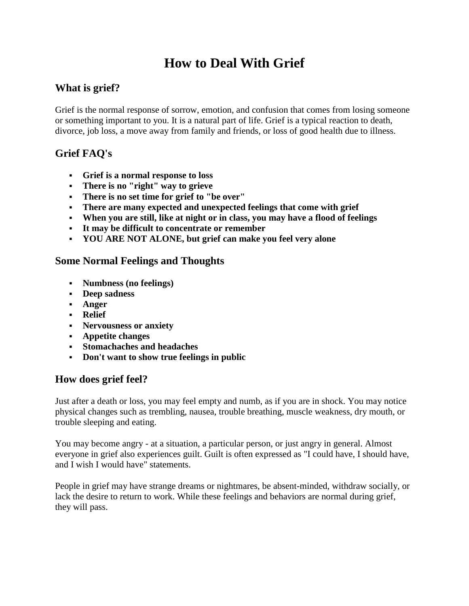# **How to Deal With Grief**

# **What is grief?**

Grief is the normal response of sorrow, emotion, and confusion that comes from losing someone or something important to you. It is a natural part of life. Grief is a typical reaction to death, divorce, job loss, a move away from family and friends, or loss of good health due to illness.

## **Grief FAQ's**

- **Grief is a normal response to loss**
- **There is no "right" way to grieve**
- **There is no set time for grief to "be over"**
- **There are many expected and unexpected feelings that come with grief**
- **When you are still, like at night or in class, you may have a flood of feelings**
- **It may be difficult to concentrate or remember**
- **YOU ARE NOT ALONE, but grief can make you feel very alone**

#### **Some Normal Feelings and Thoughts**

- **Numbness (no feelings)**
- **Deep sadness**
- **Anger**
- **Relief**
- **Nervousness or anxiety**
- **Appetite changes**
- **Stomachaches and headaches**
- **Don't want to show true feelings in public**

### **How does grief feel?**

Just after a death or loss, you may feel empty and numb, as if you are in shock. You may notice physical changes such as trembling, nausea, trouble breathing, muscle weakness, dry mouth, or trouble sleeping and eating.

You may become angry - at a situation, a particular person, or just angry in general. Almost everyone in grief also experiences guilt. Guilt is often expressed as "I could have, I should have, and I wish I would have" statements.

People in grief may have strange dreams or nightmares, be absent-minded, withdraw socially, or lack the desire to return to work. While these feelings and behaviors are normal during grief, they will pass.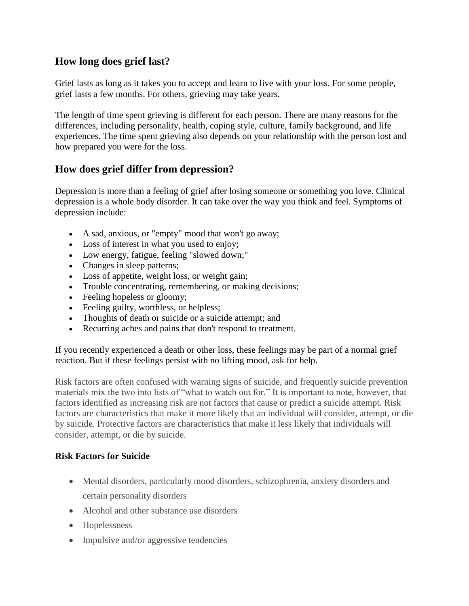## **How long does grief last?**

Grief lasts as long as it takes you to accept and learn to live with your loss. For some people, grief lasts a few months. For others, grieving may take years.

The length of time spent grieving is different for each person. There are many reasons for the differences, including personality, health, coping style, culture, family background, and life experiences. The time spent grieving also depends on your relationship with the person lost and how prepared you were for the loss.

### **How does grief differ from depression?**

Depression is more than a feeling of grief after losing someone or something you love. Clinical depression is a whole body disorder. It can take over the way you think and feel. Symptoms of depression include:

- A sad, anxious, or "empty" mood that won't go away;
- Loss of interest in what you used to enjoy;
- Low energy, fatigue, feeling "slowed down;"
- Changes in sleep patterns;
- Loss of appetite, weight loss, or weight gain;
- Trouble concentrating, remembering, or making decisions;
- Feeling hopeless or gloomy;
- Feeling guilty, worthless, or helpless;
- Thoughts of death or suicide or a suicide attempt; and
- Recurring aches and pains that don't respond to treatment.

If you recently experienced a death or other loss, these feelings may be part of a normal grief reaction. But if these feelings persist with no lifting mood, ask for help.

Risk factors are often confused with warning signs of suicide, and frequently suicide prevention materials mix the two into lists of "what to watch out for." It is important to note, however, that factors identified as increasing risk are not factors that cause or predict a suicide attempt. Risk factors are characteristics that make it more likely that an individual will consider, attempt, or die by suicide. Protective factors are characteristics that make it less likely that individuals will consider, attempt, or die by suicide.

#### **Risk Factors for Suicide**

- Mental disorders, particularly mood disorders, schizophrenia, anxiety disorders and certain personality disorders
- Alcohol and other substance use disorders
- Hopelessness
- Impulsive and/or aggressive tendencies